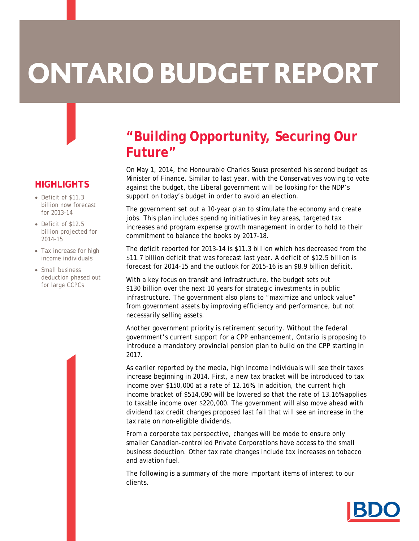# **ONTARIO BUDGET REPORT**

# **HIGHLIGHTS**

- Deficit of \$11.3 billion now forecast for 2013-14
- Deficit of \$12.5 billion projected for 2014-15
- Tax increase for high income individuals
- Small business deduction phased out for large CCPCs

# **"Building Opportunity, Securing Our Future"**

On May 1, 2014, the Honourable Charles Sousa presented his second budget as Minister of Finance. Similar to last year, with the Conservatives vowing to vote against the budget, the Liberal government will be looking for the NDP's support on today's budget in order to avoid an election.

The government set out a 10-year plan to stimulate the economy and create jobs. This plan includes spending initiatives in key areas, targeted tax increases and program expense growth management in order to hold to their commitment to balance the books by 2017-18.

The deficit reported for 2013-14 is \$11.3 billion which has decreased from the \$11.7 billion deficit that was forecast last year. A deficit of \$12.5 billion is forecast for 2014-15 and the outlook for 2015-16 is an \$8.9 billion deficit.

With a key focus on transit and infrastructure, the budget sets out \$130 billion over the next 10 years for strategic investments in public infrastructure. The government also plans to "maximize and unlock value" from government assets by improving efficiency and performance, but not necessarily selling assets.

Another government priority is retirement security. Without the federal government's current support for a CPP enhancement, Ontario is proposing to introduce a mandatory provincial pension plan to build on the CPP starting in 2017.

As earlier reported by the media, high income individuals will see their taxes increase beginning in 2014. First, a new tax bracket will be introduced to tax income over \$150,000 at a rate of 12.16%. In addition, the current high income bracket of \$514,090 will be lowered so that the rate of 13.16% applies to taxable income over \$220,000. The government will also move ahead with dividend tax credit changes proposed last fall that will see an increase in the tax rate on non-eligible dividends.

From a corporate tax perspective, changes will be made to ensure only smaller Canadian-controlled Private Corporations have access to the small business deduction. Other tax rate changes include tax increases on tobacco and aviation fuel.

The following is a summary of the more important items of interest to our clients.

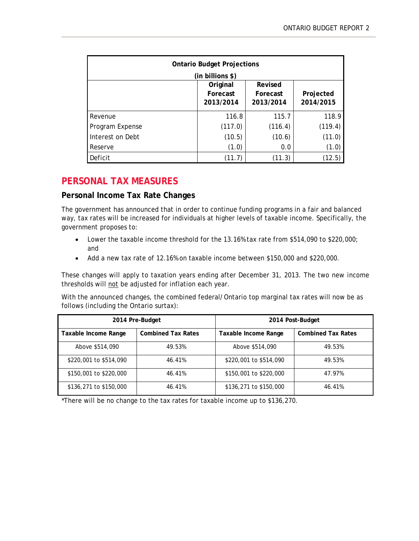| <b>Ontario Budget Projections</b><br>(in billions \$) |                                   |                                  |                        |  |
|-------------------------------------------------------|-----------------------------------|----------------------------------|------------------------|--|
|                                                       | Original<br>Forecast<br>2013/2014 | Revised<br>Forecast<br>2013/2014 | Projected<br>2014/2015 |  |
| Revenue                                               | 116.8                             | 115.7                            | 118.9                  |  |
| Program Expense                                       | (117.0)                           | (116.4)                          | (119.4)                |  |
| Interest on Debt                                      | (10.5)                            | (10.6)                           | (11.0)                 |  |
| Reserve                                               | (1.0)                             | 0.0                              | (1.0)                  |  |
| Deficit                                               | (11.7)                            | (11.3)                           | (12.5)                 |  |

# **PERSONAL TAX MEASURES**

#### **Personal Income Tax Rate Changes**

The government has announced that in order to continue funding programs in a fair and balanced way, tax rates will be increased for individuals at higher levels of taxable income. Specifically, the government proposes to:

- Lower the taxable income threshold for the 13.16% tax rate from \$514,090 to \$220,000; and
- Add a new tax rate of 12.16% on taxable income between \$150,000 and \$220,000.

These changes will apply to taxation years ending after December 31, 2013. The two new income thresholds will not be adjusted for inflation each year.

With the announced changes, the combined federal/Ontario top marginal tax rates will now be as follows (including the Ontario surtax):

| 2014 Pre-Budget        |                           | 2014 Post-Budget       |                           |  |
|------------------------|---------------------------|------------------------|---------------------------|--|
| Taxable Income Range   | <b>Combined Tax Rates</b> | Taxable Income Range   | <b>Combined Tax Rates</b> |  |
| Above \$514,090        | 49.53%                    | Above \$514,090        | 49.53%                    |  |
| \$220,001 to \$514,090 | 46.41%                    | \$220,001 to \$514,090 | 49.53%                    |  |
| \$150,001 to \$220,000 | 46.41%                    | \$150,001 to \$220,000 | 47.97%                    |  |
| \$136,271 to \$150,000 | 46.41%                    | \$136,271 to \$150,000 | 46.41%                    |  |

\*There will be no change to the tax rates for taxable income up to \$136,270.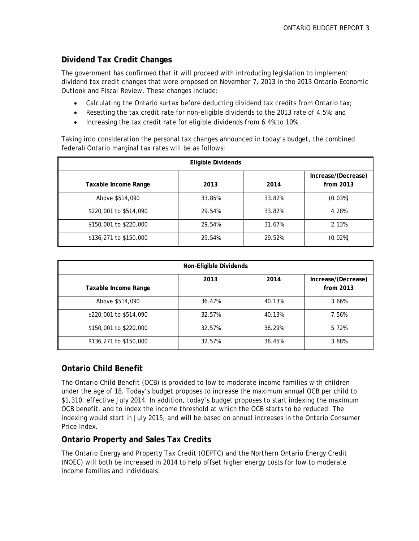#### **Dividend Tax Credit Changes**

The government has confirmed that it will proceed with introducing legislation to implement dividend tax credit changes that were proposed on November 7, 2013 in the *2013 Ontario Economic Outlook and Fiscal Review*. These changes include:

- Calculating the Ontario surtax before deducting dividend tax credits from Ontario tax;
- Resetting the tax credit rate for non-eligible dividends to the 2013 rate of 4.5%; and
- Increasing the tax credit rate for eligible dividends from 6.4% to 10%.

Taking into consideration the personal tax changes announced in today's budget, the combined federal/Ontario marginal tax rates will be as follows:

| <b>Eligible Dividends</b> |        |        |                                  |  |
|---------------------------|--------|--------|----------------------------------|--|
| Taxable Income Range      | 2013   | 2014   | Increase/(Decrease)<br>from 2013 |  |
| Above \$514,090           | 33.85% | 33.82% | (0.03%)                          |  |
| \$220,001 to \$514,090    | 29.54% | 33.82% | 4.28%                            |  |
| \$150,001 to \$220,000    | 29.54% | 31.67% | 2.13%                            |  |
| \$136,271 to \$150,000    | 29.54% | 29.52% | (0.02%)                          |  |

| Non-Eligible Dividends |        |        |                                  |  |
|------------------------|--------|--------|----------------------------------|--|
| Taxable Income Range   | 2013   | 2014   | Increase/(Decrease)<br>from 2013 |  |
| Above \$514,090        | 36.47% | 40.13% | 3.66%                            |  |
| \$220,001 to \$514,090 | 32.57% | 40.13% | 7.56%                            |  |
| \$150,001 to \$220,000 | 32.57% | 38.29% | 5.72%                            |  |
| \$136,271 to \$150,000 | 32.57% | 36.45% | 3.88%                            |  |

#### **Ontario Child Benefit**

The Ontario Child Benefit (OCB) is provided to low to moderate income families with children under the age of 18. Today's budget proposes to increase the maximum annual OCB per child to \$1,310, effective July 2014. In addition, today's budget proposes to start indexing the maximum OCB benefit, and to index the income threshold at which the OCB starts to be reduced. The indexing would start in July 2015, and will be based on annual increases in the Ontario Consumer Price Index.

#### **Ontario Property and Sales Tax Credits**

The Ontario Energy and Property Tax Credit (OEPTC) and the Northern Ontario Energy Credit (NOEC) will both be increased in 2014 to help offset higher energy costs for low to moderate income families and individuals.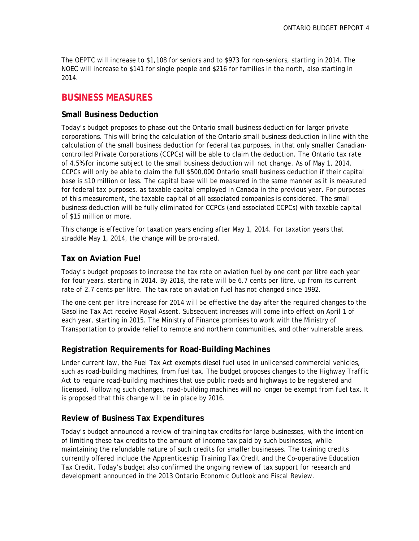The OEPTC will increase to \$1,108 for seniors and to \$973 for non-seniors, starting in 2014. The NOEC will increase to \$141 for single people and \$216 for families in the north, also starting in 2014.

### **BUSINESS MEASURES**

#### **Small Business Deduction**

Today's budget proposes to phase-out the Ontario small business deduction for larger private corporations. This will bring the calculation of the Ontario small business deduction in line with the calculation of the small business deduction for federal tax purposes, in that only smaller Canadiancontrolled Private Corporations (CCPCs) will be able to claim the deduction. The Ontario tax rate of 4.5% for income subject to the small business deduction will not change. As of May 1, 2014, CCPCs will only be able to claim the full \$500,000 Ontario small business deduction if their capital base is \$10 million or less. The capital base will be measured in the same manner as it is measured for federal tax purposes, as taxable capital employed in Canada in the previous year. For purposes of this measurement, the taxable capital of all associated companies is considered. The small business deduction will be fully eliminated for CCPCs (and associated CCPCs) with taxable capital of \$15 million or more.

This change is effective for taxation years ending after May 1, 2014. For taxation years that straddle May 1, 2014, the change will be pro-rated.

#### **Tax on Aviation Fuel**

Today's budget proposes to increase the tax rate on aviation fuel by one cent per litre each year for four years, starting in 2014. By 2018, the rate will be 6.7 cents per litre, up from its current rate of 2.7 cents per litre. The tax rate on aviation fuel has not changed since 1992.

The one cent per litre increase for 2014 will be effective the day after the required changes to the *Gasoline Tax Act* receive Royal Assent. Subsequent increases will come into effect on April 1 of each year, starting in 2015. The Ministry of Finance promises to work with the Ministry of Transportation to provide relief to remote and northern communities, and other vulnerable areas.

#### **Registration Requirements for Road-Building Machines**

Under current law, the *Fuel Tax Act* exempts diesel fuel used in unlicensed commercial vehicles, such as road-building machines, from fuel tax. The budget proposes changes to the *Highway Traffic Act* to require road-building machines that use public roads and highways to be registered and licensed. Following such changes, road-building machines will no longer be exempt from fuel tax. It is proposed that this change will be in place by 2016.

#### **Review of Business Tax Expenditures**

Today's budget announced a review of training tax credits for large businesses, with the intention of limiting these tax credits to the amount of income tax paid by such businesses, while maintaining the refundable nature of such credits for smaller businesses. The training credits currently offered include the Apprenticeship Training Tax Credit and the Co-operative Education Tax Credit. Today's budget also confirmed the ongoing review of tax support for research and development announced in the *2013 Ontario Economic Outlook and Fiscal Review.*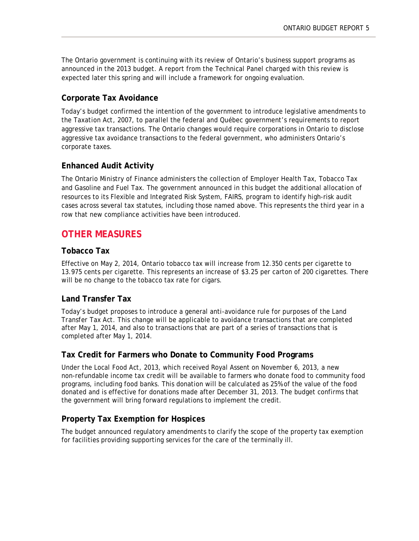The Ontario government is continuing with its review of Ontario's business support programs as announced in the 2013 budget. A report from the Technical Panel charged with this review is expected later this spring and will include a framework for ongoing evaluation.

#### **Corporate Tax Avoidance**

Today's budget confirmed the intention of the government to introduce legislative amendments to the *Taxation Act, 2007*, to parallel the federal and Québec government's requirements to report aggressive tax transactions. The Ontario changes would require corporations in Ontario to disclose aggressive tax avoidance transactions to the federal government, who administers Ontario's corporate taxes.

#### **Enhanced Audit Activity**

The Ontario Ministry of Finance administers the collection of Employer Health Tax, Tobacco Tax and Gasoline and Fuel Tax. The government announced in this budget the additional allocation of resources to its Flexible and Integrated Risk System, FAIRS, program to identify high-risk audit cases across several tax statutes, including those named above. This represents the third year in a row that new compliance activities have been introduced.

## **OTHER MEASURES**

#### **Tobacco Tax**

Effective on May 2, 2014, Ontario tobacco tax will increase from 12.350 cents per cigarette to 13.975 cents per cigarette. This represents an increase of \$3.25 per carton of 200 cigarettes. There will be no change to the tobacco tax rate for cigars.

#### **Land Transfer Tax**

Today's budget proposes to introduce a general anti-avoidance rule for purposes of the *Land Transfer Tax Act.* This change will be applicable to avoidance transactions that are completed after May 1, 2014, and also to transactions that are part of a series of transactions that is completed after May 1, 2014.

#### **Tax Credit for Farmers who Donate to Community Food Programs**

Under the *Local Food Act, 2013,* which received Royal Assent on November 6, 2013, a new non-refundable income tax credit will be available to farmers who donate food to community food programs, including food banks. This donation will be calculated as 25% of the value of the food donated and is effective for donations made after December 31, 2013. The budget confirms that the government will bring forward regulations to implement the credit.

#### **Property Tax Exemption for Hospices**

The budget announced regulatory amendments to clarify the scope of the property tax exemption for facilities providing supporting services for the care of the terminally ill.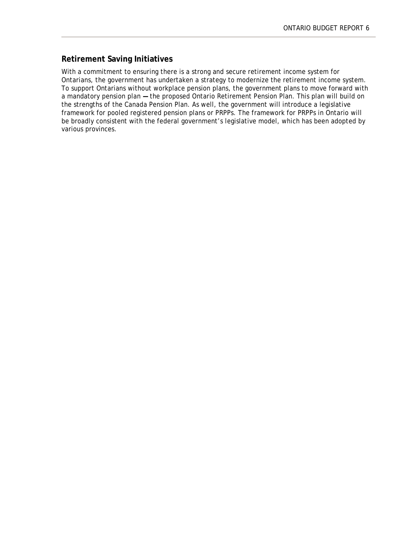#### **Retirement Saving Initiatives**

With a commitment to ensuring there is a strong and secure retirement income system for Ontarians, the government has undertaken a strategy to modernize the retirement income system. To support Ontarians without workplace pension plans, the government plans to move forward with a mandatory pension plan **—** the proposed Ontario Retirement Pension Plan. This plan will build on the strengths of the Canada Pension Plan. As well, the government will introduce a legislative framework for pooled registered pension plans or PRPPs. The framework for PRPPs in Ontario will be broadly consistent with the federal government's legislative model, which has been adopted by various provinces.